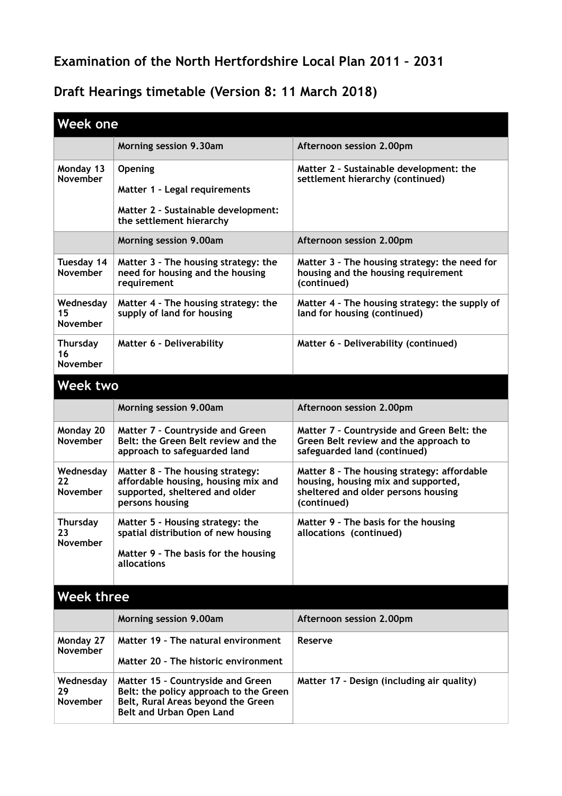## **Examination of the North Hertfordshire Local Plan 2011 – 2031**

## **Draft Hearings timetable (Version 8: 11 March 2018)**

| <b>Week one</b>                    |                                                                                                                                               |                                                                                                                                          |  |  |
|------------------------------------|-----------------------------------------------------------------------------------------------------------------------------------------------|------------------------------------------------------------------------------------------------------------------------------------------|--|--|
|                                    | Morning session 9.30am                                                                                                                        | Afternoon session 2.00pm                                                                                                                 |  |  |
| Monday 13<br><b>November</b>       | <b>Opening</b><br>Matter 1 - Legal requirements<br>Matter 2 - Sustainable development:<br>the settlement hierarchy                            | Matter 2 - Sustainable development: the<br>settlement hierarchy (continued)                                                              |  |  |
|                                    | Morning session 9.00am                                                                                                                        | Afternoon session 2.00pm                                                                                                                 |  |  |
| Tuesday 14<br><b>November</b>      | Matter 3 - The housing strategy: the<br>need for housing and the housing<br>requirement                                                       | Matter 3 - The housing strategy: the need for<br>housing and the housing requirement<br>(continued)                                      |  |  |
| Wednesday<br>15<br><b>November</b> | Matter 4 - The housing strategy: the<br>supply of land for housing                                                                            | Matter 4 - The housing strategy: the supply of<br>land for housing (continued)                                                           |  |  |
| <b>Thursday</b><br>16<br>November  | Matter 6 - Deliverability                                                                                                                     | Matter 6 - Deliverability (continued)                                                                                                    |  |  |
| <b>Week two</b>                    |                                                                                                                                               |                                                                                                                                          |  |  |
|                                    | Morning session 9.00am                                                                                                                        | Afternoon session 2.00pm                                                                                                                 |  |  |
| Monday 20<br><b>November</b>       | Matter 7 - Countryside and Green<br>Belt: the Green Belt review and the<br>approach to safeguarded land                                       | Matter 7 - Countryside and Green Belt: the<br>Green Belt review and the approach to<br>safeguarded land (continued)                      |  |  |
| Wednesday<br>22<br>November        | Matter 8 - The housing strategy:<br>affordable housing, housing mix and<br>supported, sheltered and older<br>persons housing                  | Matter 8 - The housing strategy: affordable<br>housing, housing mix and supported,<br>sheltered and older persons housing<br>(continued) |  |  |
| Thursday<br>23<br><b>November</b>  | Matter 5 - Housing strategy: the<br>spatial distribution of new housing<br>Matter 9 - The basis for the housing<br>allocations                | Matter 9 - The basis for the housing<br>allocations (continued)                                                                          |  |  |
| <b>Week three</b>                  |                                                                                                                                               |                                                                                                                                          |  |  |
|                                    | Morning session 9.00am                                                                                                                        | Afternoon session 2.00pm                                                                                                                 |  |  |
| Monday 27<br>November              | Matter 19 - The natural environment<br>Matter 20 - The historic environment                                                                   | Reserve                                                                                                                                  |  |  |
| Wednesday<br>29<br>November        | Matter 15 - Countryside and Green<br>Belt: the policy approach to the Green<br>Belt, Rural Areas beyond the Green<br>Belt and Urban Open Land | Matter 17 - Design (including air quality)                                                                                               |  |  |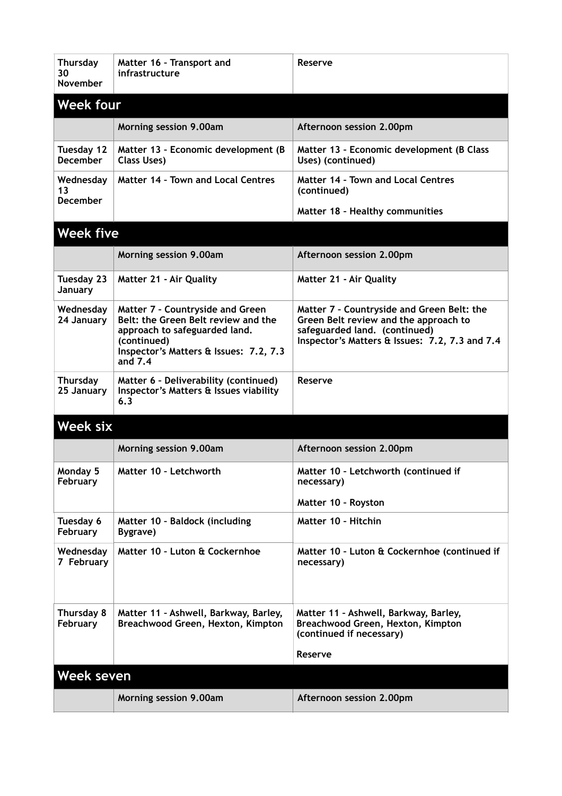| <b>Thursday</b><br>30<br><b>November</b> | Matter 16 - Transport and<br>infrastructure                                                                                                                                  | Reserve                                                                                                                                                                |  |
|------------------------------------------|------------------------------------------------------------------------------------------------------------------------------------------------------------------------------|------------------------------------------------------------------------------------------------------------------------------------------------------------------------|--|
| <b>Week four</b>                         |                                                                                                                                                                              |                                                                                                                                                                        |  |
|                                          | Morning session 9.00am                                                                                                                                                       | Afternoon session 2.00pm                                                                                                                                               |  |
| Tuesday 12<br><b>December</b>            | Matter 13 - Economic development (B<br><b>Class Uses)</b>                                                                                                                    | Matter 13 - Economic development (B Class<br>Uses) (continued)                                                                                                         |  |
| Wednesday<br>13<br><b>December</b>       | <b>Matter 14 - Town and Local Centres</b>                                                                                                                                    | <b>Matter 14 - Town and Local Centres</b><br>(continued)                                                                                                               |  |
|                                          |                                                                                                                                                                              | Matter 18 - Healthy communities                                                                                                                                        |  |
| <b>Week five</b>                         |                                                                                                                                                                              |                                                                                                                                                                        |  |
|                                          | Morning session 9.00am                                                                                                                                                       | Afternoon session 2.00pm                                                                                                                                               |  |
| Tuesday 23<br>January                    | <b>Matter 21 - Air Quality</b>                                                                                                                                               | <b>Matter 21 - Air Quality</b>                                                                                                                                         |  |
| Wednesday<br>24 January                  | Matter 7 - Countryside and Green<br>Belt: the Green Belt review and the<br>approach to safeguarded land.<br>(continued)<br>Inspector's Matters & Issues: 7.2, 7.3<br>and 7.4 | Matter 7 - Countryside and Green Belt: the<br>Green Belt review and the approach to<br>safeguarded land. (continued)<br>Inspector's Matters & Issues: 7.2, 7.3 and 7.4 |  |
| Thursday<br>25 January                   | Matter 6 - Deliverability (continued)<br>Inspector's Matters & Issues viability<br>6.3                                                                                       | Reserve                                                                                                                                                                |  |
| Week six                                 |                                                                                                                                                                              |                                                                                                                                                                        |  |
|                                          | Morning session 9.00am                                                                                                                                                       | Afternoon session 2.00pm                                                                                                                                               |  |
| Monday 5<br>February                     | Matter 10 - Letchworth                                                                                                                                                       | Matter 10 - Letchworth (continued if<br>necessary)                                                                                                                     |  |
|                                          |                                                                                                                                                                              | Matter 10 - Royston                                                                                                                                                    |  |
| Tuesday 6<br>February                    | Matter 10 - Baldock (including<br>Bygrave)                                                                                                                                   | Matter 10 - Hitchin                                                                                                                                                    |  |
| Wednesday<br>7 February                  | Matter 10 - Luton & Cockernhoe                                                                                                                                               | Matter 10 - Luton & Cockernhoe (continued if<br>necessary)                                                                                                             |  |
| Thursday 8<br>February                   | Matter 11 - Ashwell, Barkway, Barley,<br>Breachwood Green, Hexton, Kimpton                                                                                                   | Matter 11 - Ashwell, Barkway, Barley,<br>Breachwood Green, Hexton, Kimpton<br>(continued if necessary)<br>Reserve                                                      |  |
| Week seven                               |                                                                                                                                                                              |                                                                                                                                                                        |  |
|                                          | Morning session 9.00am                                                                                                                                                       | Afternoon session 2.00pm                                                                                                                                               |  |